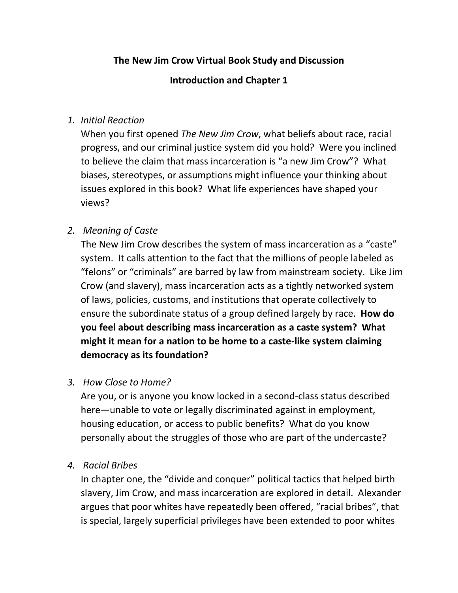# **The New Jim Crow Virtual Book Study and Discussion**

### **Introduction and Chapter 1**

### *1. Initial Reaction*

When you first opened *The New Jim Crow*, what beliefs about race, racial progress, and our criminal justice system did you hold? Were you inclined to believe the claim that mass incarceration is "a new Jim Crow"? What biases, stereotypes, or assumptions might influence your thinking about issues explored in this book? What life experiences have shaped your views?

## *2. Meaning of Caste*

The New Jim Crow describes the system of mass incarceration as a "caste" system. It calls attention to the fact that the millions of people labeled as "felons" or "criminals" are barred by law from mainstream society. Like Jim Crow (and slavery), mass incarceration acts as a tightly networked system of laws, policies, customs, and institutions that operate collectively to ensure the subordinate status of a group defined largely by race. **How do you feel about describing mass incarceration as a caste system? What might it mean for a nation to be home to a caste-like system claiming democracy as its foundation?**

#### *3. How Close to Home?*

Are you, or is anyone you know locked in a second-class status described here—unable to vote or legally discriminated against in employment, housing education, or access to public benefits? What do you know personally about the struggles of those who are part of the undercaste?

*4. Racial Bribes*

In chapter one, the "divide and conquer" political tactics that helped birth slavery, Jim Crow, and mass incarceration are explored in detail. Alexander argues that poor whites have repeatedly been offered, "racial bribes", that is special, largely superficial privileges have been extended to poor whites